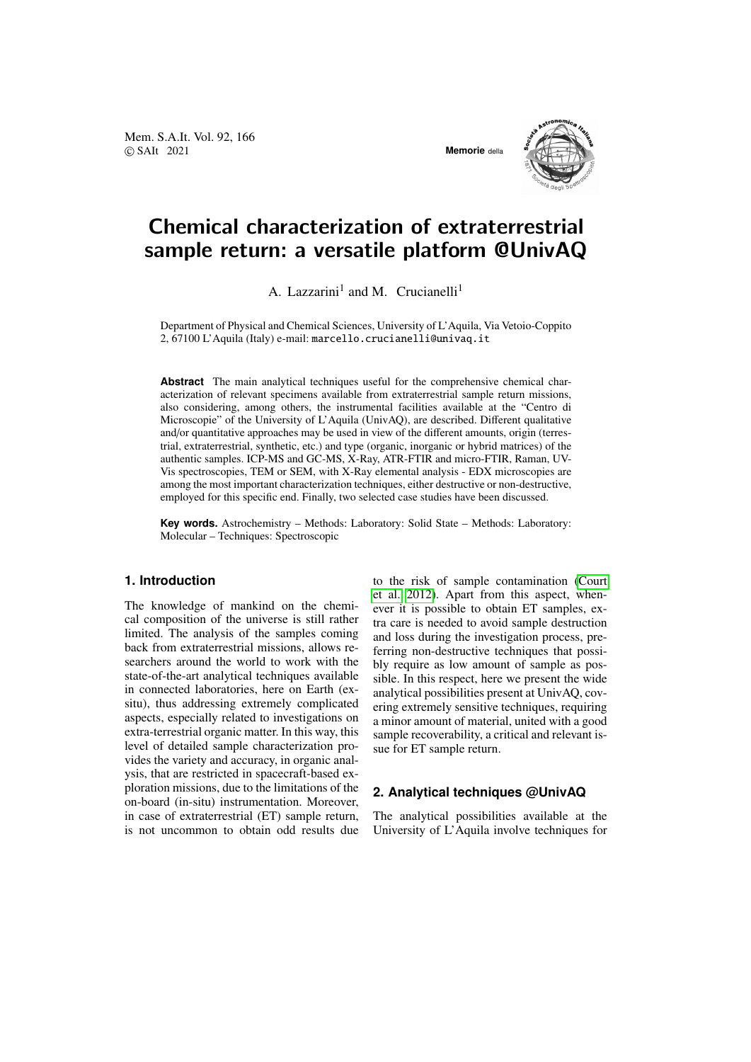Mem. S.A.It. Vol. 92, 166 © SAIt 2021 **Memorie** della



# Chemical characterization of extraterrestrial sample return: a versatile platform @UnivAQ

A. Lazzarini<sup>1</sup> and M. Crucianelli<sup>1</sup>

Department of Physical and Chemical Sciences, University of L'Aquila, Via Vetoio-Coppito 2, 67100 L'Aquila (Italy) e-mail: marcello.crucianelli@univaq.it

**Abstract** The main analytical techniques useful for the comprehensive chemical characterization of relevant specimens available from extraterrestrial sample return missions, also considering, among others, the instrumental facilities available at the "Centro di Microscopie" of the University of L'Aquila (UnivAQ), are described. Different qualitative and/or quantitative approaches may be used in view of the different amounts, origin (terrestrial, extraterrestrial, synthetic, etc.) and type (organic, inorganic or hybrid matrices) of the authentic samples. ICP-MS and GC-MS, X-Ray, ATR-FTIR and micro-FTIR, Raman, UV-Vis spectroscopies, TEM or SEM, with X-Ray elemental analysis - EDX microscopies are among the most important characterization techniques, either destructive or non-destructive, employed for this specific end. Finally, two selected case studies have been discussed.

**Key words.** Astrochemistry – Methods: Laboratory: Solid State – Methods: Laboratory: Molecular – Techniques: Spectroscopic

### **1. Introduction**

The knowledge of mankind on the chemical composition of the universe is still rather limited. The analysis of the samples coming back from extraterrestrial missions, allows researchers around the world to work with the state-of-the-art analytical techniques available in connected laboratories, here on Earth (exsitu), thus addressing extremely complicated aspects, especially related to investigations on extra-terrestrial organic matter. In this way, this level of detailed sample characterization provides the variety and accuracy, in organic analysis, that are restricted in spacecraft-based exploration missions, due to the limitations of the on-board (in-situ) instrumentation. Moreover, in case of extraterrestrial (ET) sample return, is not uncommon to obtain odd results due to the risk of sample contamination [\(Court](#page-3-0) [et al. 2012\)](#page-3-0). Apart from this aspect, whenever it is possible to obtain ET samples, extra care is needed to avoid sample destruction and loss during the investigation process, preferring non-destructive techniques that possibly require as low amount of sample as possible. In this respect, here we present the wide analytical possibilities present at UnivAQ, covering extremely sensitive techniques, requiring a minor amount of material, united with a good sample recoverability, a critical and relevant issue for ET sample return.

#### **2. Analytical techniques @UnivAQ**

The analytical possibilities available at the University of L'Aquila involve techniques for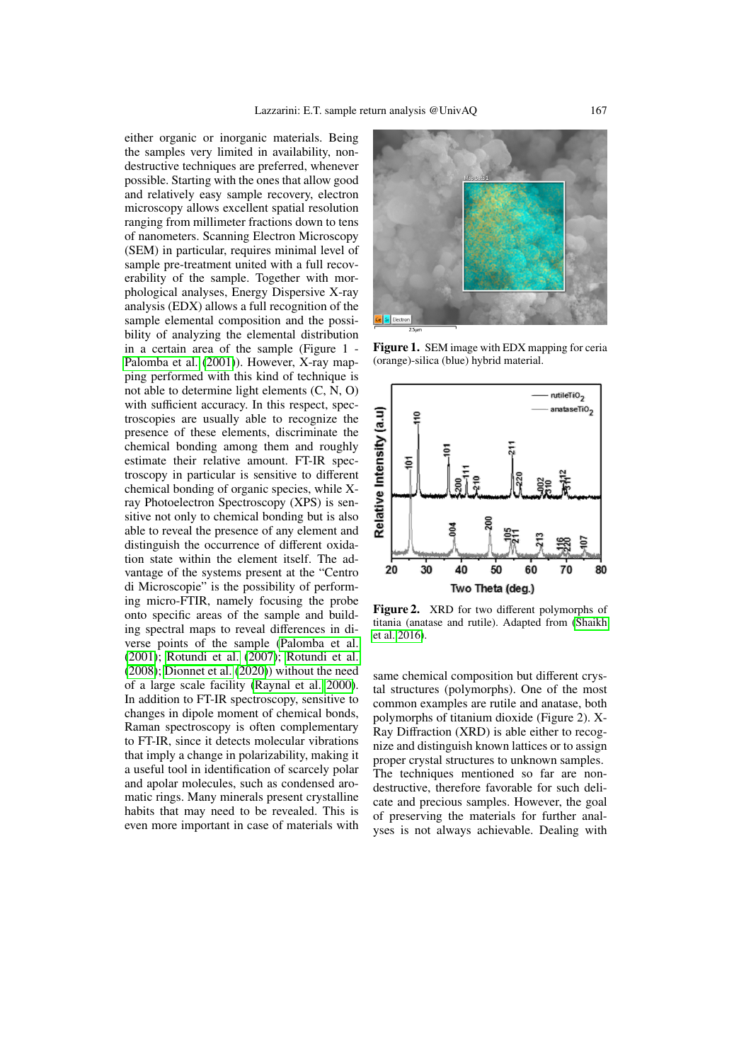either organic or inorganic materials. Being the samples very limited in availability, nondestructive techniques are preferred, whenever possible. Starting with the ones that allow good and relatively easy sample recovery, electron microscopy allows excellent spatial resolution ranging from millimeter fractions down to tens of nanometers. Scanning Electron Microscopy (SEM) in particular, requires minimal level of sample pre-treatment united with a full recoverability of the sample. Together with morphological analyses, Energy Dispersive X-ray analysis (EDX) allows a full recognition of the sample elemental composition and the possibility of analyzing the elemental distribution in a certain area of the sample (Figure 1 - [Palomba et al.](#page-3-1) [\(2001\)](#page-3-1)). However, X-ray mapping performed with this kind of technique is not able to determine light elements (C, N, O) with sufficient accuracy. In this respect, spectroscopies are usually able to recognize the presence of these elements, discriminate the chemical bonding among them and roughly estimate their relative amount. FT-IR spectroscopy in particular is sensitive to different chemical bonding of organic species, while Xray Photoelectron Spectroscopy (XPS) is sensitive not only to chemical bonding but is also able to reveal the presence of any element and distinguish the occurrence of different oxidation state within the element itself. The advantage of the systems present at the "Centro di Microscopie" is the possibility of performing micro-FTIR, namely focusing the probe onto specific areas of the sample and building spectral maps to reveal differences in diverse points of the sample [\(Palomba et al.](#page-3-1) [\(2001\)](#page-3-1); [Rotundi et al.](#page-3-2) [\(2007\)](#page-3-2); [Rotundi et al.](#page-3-3) [\(2008\)](#page-3-3); [Dionnet et al.](#page-3-4) [\(2020\)](#page-3-4)) without the need of a large scale facility [\(Raynal et al. 2000\)](#page-3-5). In addition to FT-IR spectroscopy, sensitive to changes in dipole moment of chemical bonds, Raman spectroscopy is often complementary to FT-IR, since it detects molecular vibrations that imply a change in polarizability, making it a useful tool in identification of scarcely polar and apolar molecules, such as condensed aromatic rings. Many minerals present crystalline habits that may need to be revealed. This is even more important in case of materials with



Figure 1. SEM image with EDX mapping for ceria (orange)-silica (blue) hybrid material.



Figure 2. XRD for two different polymorphs of titania (anatase and rutile). Adapted from [\(Shaikh](#page-3-6) [et al. 2016\)](#page-3-6).

same chemical composition but different crystal structures (polymorphs). One of the most common examples are rutile and anatase, both polymorphs of titanium dioxide (Figure 2). X-Ray Diffraction (XRD) is able either to recognize and distinguish known lattices or to assign proper crystal structures to unknown samples. The techniques mentioned so far are nondestructive, therefore favorable for such delicate and precious samples. However, the goal of preserving the materials for further analyses is not always achievable. Dealing with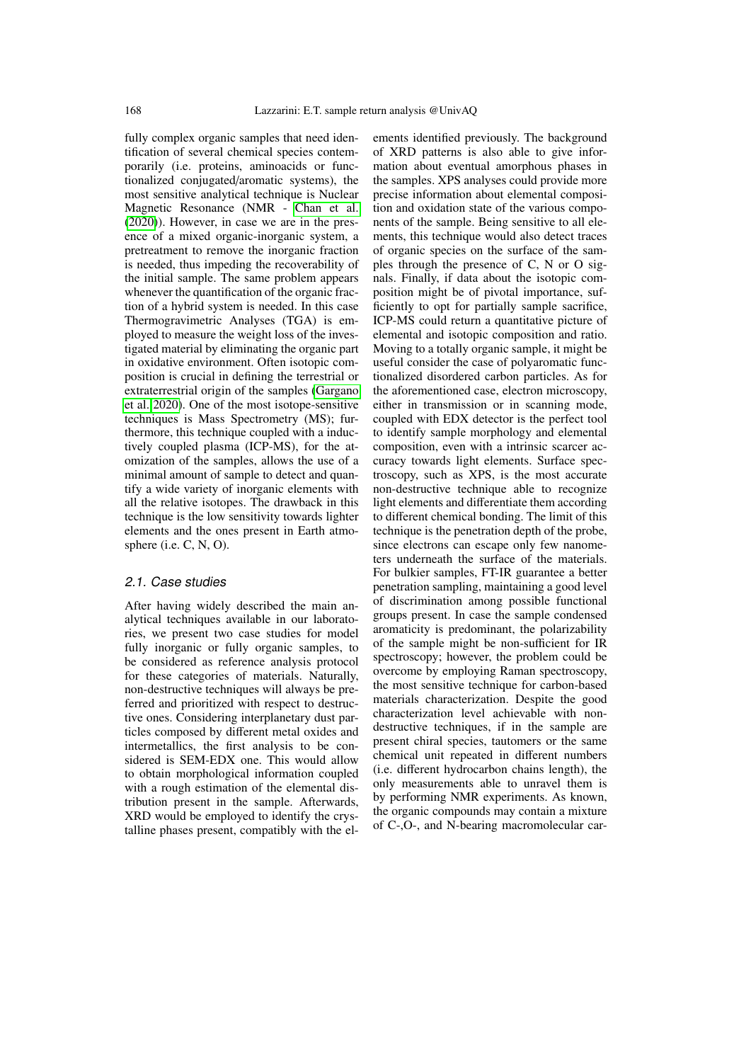fully complex organic samples that need identification of several chemical species contemporarily (i.e. proteins, aminoacids or functionalized conjugated/aromatic systems), the most sensitive analytical technique is Nuclear Magnetic Resonance (NMR - [Chan et al.](#page-3-7) [\(2020\)](#page-3-7)). However, in case we are in the presence of a mixed organic-inorganic system, a pretreatment to remove the inorganic fraction is needed, thus impeding the recoverability of the initial sample. The same problem appears whenever the quantification of the organic fraction of a hybrid system is needed. In this case Thermogravimetric Analyses (TGA) is employed to measure the weight loss of the investigated material by eliminating the organic part in oxidative environment. Often isotopic composition is crucial in defining the terrestrial or extraterrestrial origin of the samples [\(Gargano](#page-3-8) [et al. 2020\)](#page-3-8). One of the most isotope-sensitive techniques is Mass Spectrometry (MS); furthermore, this technique coupled with a inductively coupled plasma (ICP-MS), for the atomization of the samples, allows the use of a minimal amount of sample to detect and quantify a wide variety of inorganic elements with all the relative isotopes. The drawback in this technique is the low sensitivity towards lighter elements and the ones present in Earth atmosphere (i.e. C, N, O).

#### 2.1. Case studies

After having widely described the main analytical techniques available in our laboratories, we present two case studies for model fully inorganic or fully organic samples, to be considered as reference analysis protocol for these categories of materials. Naturally, non-destructive techniques will always be preferred and prioritized with respect to destructive ones. Considering interplanetary dust particles composed by different metal oxides and intermetallics, the first analysis to be considered is SEM-EDX one. This would allow to obtain morphological information coupled with a rough estimation of the elemental distribution present in the sample. Afterwards, XRD would be employed to identify the crystalline phases present, compatibly with the elements identified previously. The background of XRD patterns is also able to give information about eventual amorphous phases in the samples. XPS analyses could provide more precise information about elemental composition and oxidation state of the various components of the sample. Being sensitive to all elements, this technique would also detect traces of organic species on the surface of the samples through the presence of C, N or O signals. Finally, if data about the isotopic composition might be of pivotal importance, sufficiently to opt for partially sample sacrifice, ICP-MS could return a quantitative picture of elemental and isotopic composition and ratio. Moving to a totally organic sample, it might be useful consider the case of polyaromatic functionalized disordered carbon particles. As for the aforementioned case, electron microscopy, either in transmission or in scanning mode, coupled with EDX detector is the perfect tool to identify sample morphology and elemental composition, even with a intrinsic scarcer accuracy towards light elements. Surface spectroscopy, such as XPS, is the most accurate non-destructive technique able to recognize light elements and differentiate them according to different chemical bonding. The limit of this technique is the penetration depth of the probe, since electrons can escape only few nanometers underneath the surface of the materials. For bulkier samples, FT-IR guarantee a better penetration sampling, maintaining a good level of discrimination among possible functional groups present. In case the sample condensed aromaticity is predominant, the polarizability of the sample might be non-sufficient for IR spectroscopy; however, the problem could be overcome by employing Raman spectroscopy, the most sensitive technique for carbon-based materials characterization. Despite the good characterization level achievable with nondestructive techniques, if in the sample are present chiral species, tautomers or the same chemical unit repeated in different numbers (i.e. different hydrocarbon chains length), the only measurements able to unravel them is by performing NMR experiments. As known, the organic compounds may contain a mixture of C-,O-, and N-bearing macromolecular car-